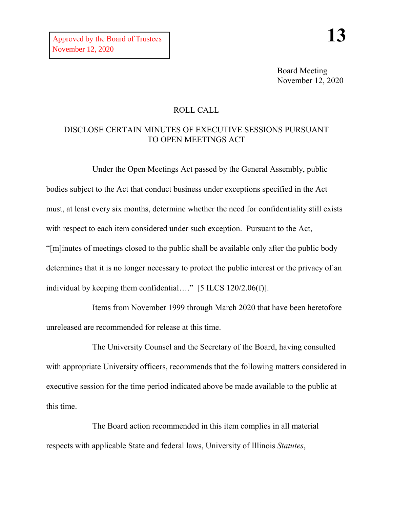Board Meeting November 12, 2020

# ROLL CALL

# DISCLOSE CERTAIN MINUTES OF EXECUTIVE SESSIONS PURSUANT TO OPEN MEETINGS ACT

Under the Open Meetings Act passed by the General Assembly, public bodies subject to the Act that conduct business under exceptions specified in the Act must, at least every six months, determine whether the need for confidentiality still exists with respect to each item considered under such exception. Pursuant to the Act, "[m]inutes of meetings closed to the public shall be available only after the public body determines that it is no longer necessary to protect the public interest or the privacy of an individual by keeping them confidential…." [5 ILCS 120/2.06(f)].

Items from November 1999 through March 2020 that have been heretofore unreleased are recommended for release at this time.

The University Counsel and the Secretary of the Board, having consulted with appropriate University officers, recommends that the following matters considered in executive session for the time period indicated above be made available to the public at this time.

The Board action recommended in this item complies in all material respects with applicable State and federal laws, University of Illinois *Statutes*,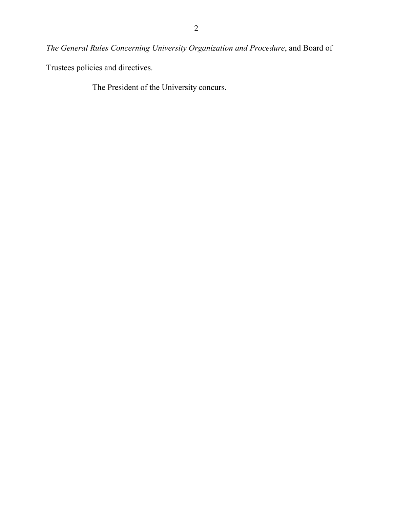*The General Rules Concerning University Organization and Procedure*, and Board of

Trustees policies and directives.

The President of the University concurs.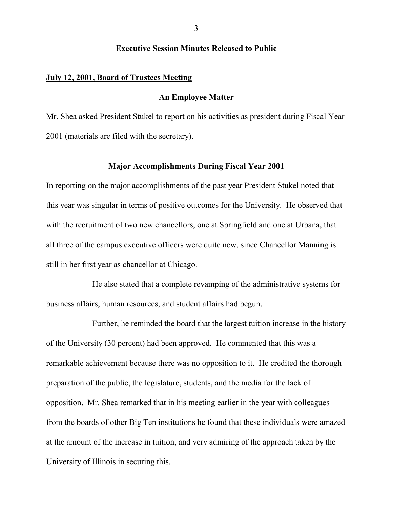### **Executive Session Minutes Released to Public**

#### **July 12, 2001, Board of Trustees Meeting**

## **An Employee Matter**

Mr. Shea asked President Stukel to report on his activities as president during Fiscal Year 2001 (materials are filed with the secretary).

## **Major Accomplishments During Fiscal Year 2001**

In reporting on the major accomplishments of the past year President Stukel noted that this year was singular in terms of positive outcomes for the University. He observed that with the recruitment of two new chancellors, one at Springfield and one at Urbana, that all three of the campus executive officers were quite new, since Chancellor Manning is still in her first year as chancellor at Chicago.

He also stated that a complete revamping of the administrative systems for business affairs, human resources, and student affairs had begun.

Further, he reminded the board that the largest tuition increase in the history of the University (30 percent) had been approved. He commented that this was a remarkable achievement because there was no opposition to it. He credited the thorough preparation of the public, the legislature, students, and the media for the lack of opposition. Mr. Shea remarked that in his meeting earlier in the year with colleagues from the boards of other Big Ten institutions he found that these individuals were amazed at the amount of the increase in tuition, and very admiring of the approach taken by the University of Illinois in securing this.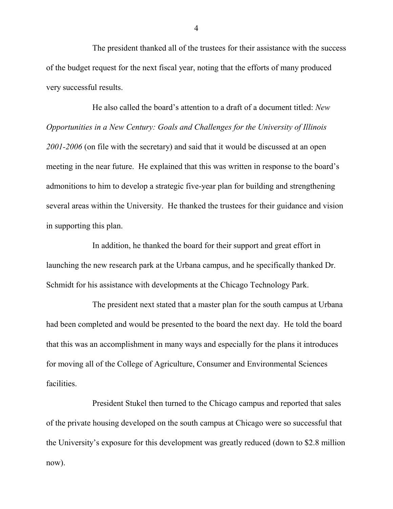The president thanked all of the trustees for their assistance with the success of the budget request for the next fiscal year, noting that the efforts of many produced very successful results.

He also called the board's attention to a draft of a document titled: *New Opportunities in a New Century: Goals and Challenges for the University of Illinois 2001-2006* (on file with the secretary) and said that it would be discussed at an open meeting in the near future. He explained that this was written in response to the board's admonitions to him to develop a strategic five-year plan for building and strengthening several areas within the University. He thanked the trustees for their guidance and vision in supporting this plan.

In addition, he thanked the board for their support and great effort in launching the new research park at the Urbana campus, and he specifically thanked Dr. Schmidt for his assistance with developments at the Chicago Technology Park.

The president next stated that a master plan for the south campus at Urbana had been completed and would be presented to the board the next day. He told the board that this was an accomplishment in many ways and especially for the plans it introduces for moving all of the College of Agriculture, Consumer and Environmental Sciences facilities.

President Stukel then turned to the Chicago campus and reported that sales of the private housing developed on the south campus at Chicago were so successful that the University's exposure for this development was greatly reduced (down to \$2.8 million now).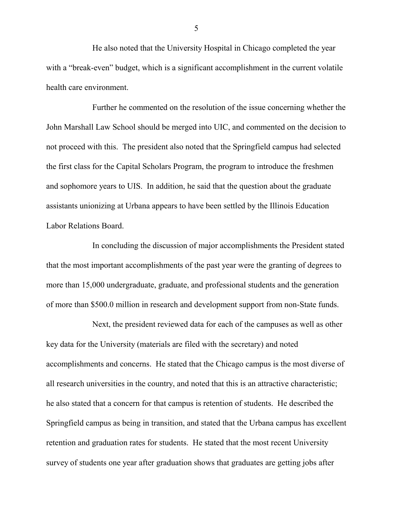He also noted that the University Hospital in Chicago completed the year with a "break-even" budget, which is a significant accomplishment in the current volatile health care environment.

Further he commented on the resolution of the issue concerning whether the John Marshall Law School should be merged into UIC, and commented on the decision to not proceed with this. The president also noted that the Springfield campus had selected the first class for the Capital Scholars Program, the program to introduce the freshmen and sophomore years to UIS. In addition, he said that the question about the graduate assistants unionizing at Urbana appears to have been settled by the Illinois Education Labor Relations Board.

In concluding the discussion of major accomplishments the President stated that the most important accomplishments of the past year were the granting of degrees to more than 15,000 undergraduate, graduate, and professional students and the generation of more than \$500.0 million in research and development support from non-State funds.

Next, the president reviewed data for each of the campuses as well as other key data for the University (materials are filed with the secretary) and noted accomplishments and concerns. He stated that the Chicago campus is the most diverse of all research universities in the country, and noted that this is an attractive characteristic; he also stated that a concern for that campus is retention of students. He described the Springfield campus as being in transition, and stated that the Urbana campus has excellent retention and graduation rates for students. He stated that the most recent University survey of students one year after graduation shows that graduates are getting jobs after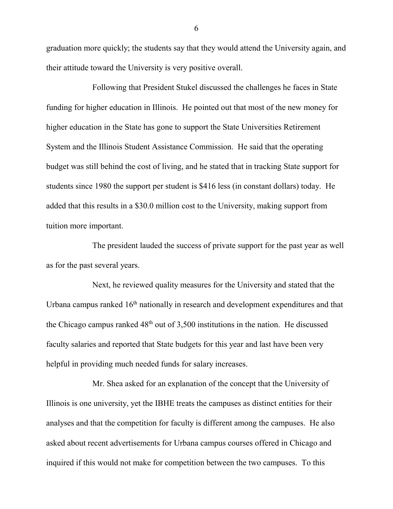graduation more quickly; the students say that they would attend the University again, and their attitude toward the University is very positive overall.

Following that President Stukel discussed the challenges he faces in State funding for higher education in Illinois. He pointed out that most of the new money for higher education in the State has gone to support the State Universities Retirement System and the Illinois Student Assistance Commission. He said that the operating budget was still behind the cost of living, and he stated that in tracking State support for students since 1980 the support per student is \$416 less (in constant dollars) today. He added that this results in a \$30.0 million cost to the University, making support from tuition more important.

The president lauded the success of private support for the past year as well as for the past several years.

Next, he reviewed quality measures for the University and stated that the Urbana campus ranked  $16<sup>th</sup>$  nationally in research and development expenditures and that the Chicago campus ranked  $48<sup>th</sup>$  out of 3,500 institutions in the nation. He discussed faculty salaries and reported that State budgets for this year and last have been very helpful in providing much needed funds for salary increases.

Mr. Shea asked for an explanation of the concept that the University of Illinois is one university, yet the IBHE treats the campuses as distinct entities for their analyses and that the competition for faculty is different among the campuses. He also asked about recent advertisements for Urbana campus courses offered in Chicago and inquired if this would not make for competition between the two campuses. To this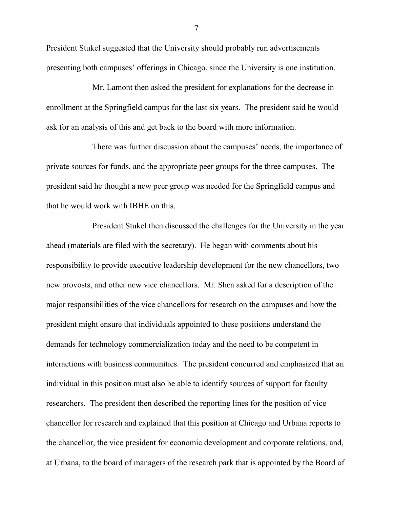President Stukel suggested that the University should probably run advertisements presenting both campuses' offerings in Chicago, since the University is one institution.

Mr. Lamont then asked the president for explanations for the decrease in enrollment at the Springfield campus for the last six years. The president said he would ask for an analysis of this and get back to the board with more information.

There was further discussion about the campuses' needs, the importance of private sources for funds, and the appropriate peer groups for the three campuses. The president said he thought a new peer group was needed for the Springfield campus and that he would work with IBHE on this.

President Stukel then discussed the challenges for the University in the year ahead (materials are filed with the secretary). He began with comments about his responsibility to provide executive leadership development for the new chancellors, two new provosts, and other new vice chancellors. Mr. Shea asked for a description of the major responsibilities of the vice chancellors for research on the campuses and how the president might ensure that individuals appointed to these positions understand the demands for technology commercialization today and the need to be competent in interactions with business communities. The president concurred and emphasized that an individual in this position must also be able to identify sources of support for faculty researchers. The president then described the reporting lines for the position of vice chancellor for research and explained that this position at Chicago and Urbana reports to the chancellor, the vice president for economic development and corporate relations, and, at Urbana, to the board of managers of the research park that is appointed by the Board of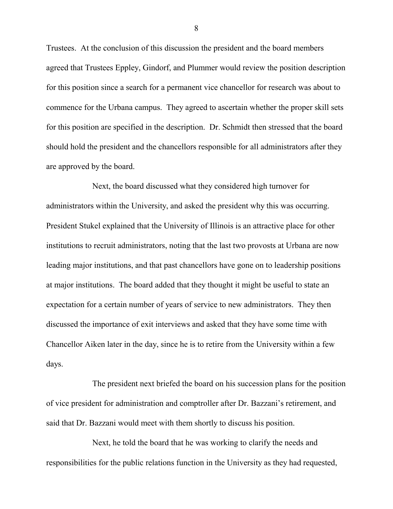Trustees. At the conclusion of this discussion the president and the board members agreed that Trustees Eppley, Gindorf, and Plummer would review the position description for this position since a search for a permanent vice chancellor for research was about to commence for the Urbana campus. They agreed to ascertain whether the proper skill sets for this position are specified in the description. Dr. Schmidt then stressed that the board should hold the president and the chancellors responsible for all administrators after they are approved by the board.

Next, the board discussed what they considered high turnover for administrators within the University, and asked the president why this was occurring. President Stukel explained that the University of Illinois is an attractive place for other institutions to recruit administrators, noting that the last two provosts at Urbana are now leading major institutions, and that past chancellors have gone on to leadership positions at major institutions. The board added that they thought it might be useful to state an expectation for a certain number of years of service to new administrators. They then discussed the importance of exit interviews and asked that they have some time with Chancellor Aiken later in the day, since he is to retire from the University within a few days.

The president next briefed the board on his succession plans for the position of vice president for administration and comptroller after Dr. Bazzani's retirement, and said that Dr. Bazzani would meet with them shortly to discuss his position.

Next, he told the board that he was working to clarify the needs and responsibilities for the public relations function in the University as they had requested,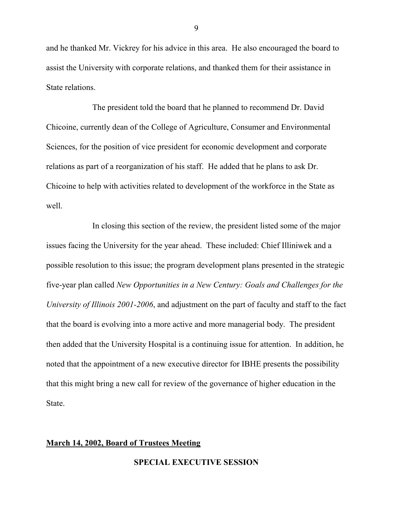and he thanked Mr. Vickrey for his advice in this area. He also encouraged the board to assist the University with corporate relations, and thanked them for their assistance in State relations.

The president told the board that he planned to recommend Dr. David Chicoine, currently dean of the College of Agriculture, Consumer and Environmental Sciences, for the position of vice president for economic development and corporate relations as part of a reorganization of his staff. He added that he plans to ask Dr. Chicoine to help with activities related to development of the workforce in the State as well.

In closing this section of the review, the president listed some of the major issues facing the University for the year ahead. These included: Chief Illiniwek and a possible resolution to this issue; the program development plans presented in the strategic five-year plan called *New Opportunities in a New Century: Goals and Challenges for the University of Illinois 2001-2006*, and adjustment on the part of faculty and staff to the fact that the board is evolving into a more active and more managerial body. The president then added that the University Hospital is a continuing issue for attention. In addition, he noted that the appointment of a new executive director for IBHE presents the possibility that this might bring a new call for review of the governance of higher education in the State.

## **March 14, 2002, Board of Trustees Meeting**

**SPECIAL EXECUTIVE SESSION**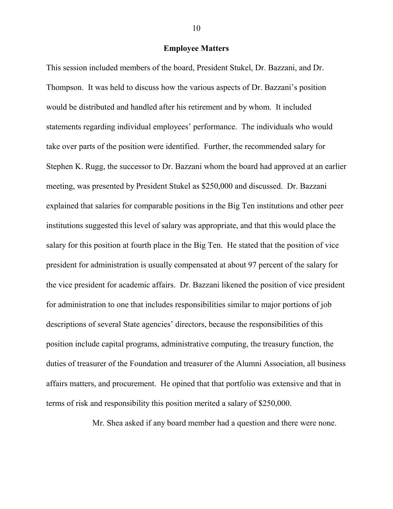#### **Employee Matters**

This session included members of the board, President Stukel, Dr. Bazzani, and Dr. Thompson. It was held to discuss how the various aspects of Dr. Bazzani's position would be distributed and handled after his retirement and by whom. It included statements regarding individual employees' performance. The individuals who would take over parts of the position were identified. Further, the recommended salary for Stephen K. Rugg, the successor to Dr. Bazzani whom the board had approved at an earlier meeting, was presented by President Stukel as \$250,000 and discussed. Dr. Bazzani explained that salaries for comparable positions in the Big Ten institutions and other peer institutions suggested this level of salary was appropriate, and that this would place the salary for this position at fourth place in the Big Ten. He stated that the position of vice president for administration is usually compensated at about 97 percent of the salary for the vice president for academic affairs. Dr. Bazzani likened the position of vice president for administration to one that includes responsibilities similar to major portions of job descriptions of several State agencies' directors, because the responsibilities of this position include capital programs, administrative computing, the treasury function, the duties of treasurer of the Foundation and treasurer of the Alumni Association, all business affairs matters, and procurement. He opined that that portfolio was extensive and that in terms of risk and responsibility this position merited a salary of \$250,000.

Mr. Shea asked if any board member had a question and there were none.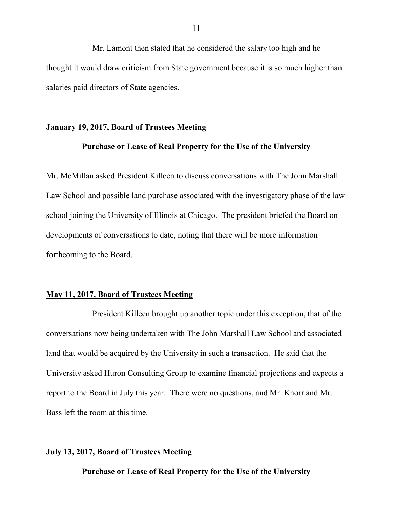Mr. Lamont then stated that he considered the salary too high and he thought it would draw criticism from State government because it is so much higher than salaries paid directors of State agencies.

## **January 19, 2017, Board of Trustees Meeting**

## **Purchase or Lease of Real Property for the Use of the University**

Mr. McMillan asked President Killeen to discuss conversations with The John Marshall Law School and possible land purchase associated with the investigatory phase of the law school joining the University of Illinois at Chicago. The president briefed the Board on developments of conversations to date, noting that there will be more information forthcoming to the Board.

## **May 11, 2017, Board of Trustees Meeting**

President Killeen brought up another topic under this exception, that of the conversations now being undertaken with The John Marshall Law School and associated land that would be acquired by the University in such a transaction. He said that the University asked Huron Consulting Group to examine financial projections and expects a report to the Board in July this year. There were no questions, and Mr. Knorr and Mr. Bass left the room at this time.

#### **July 13, 2017, Board of Trustees Meeting**

**Purchase or Lease of Real Property for the Use of the University**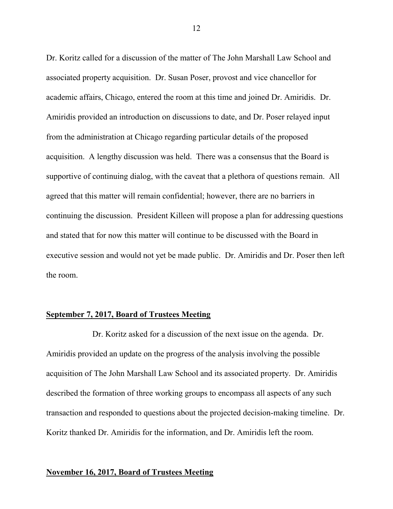Dr. Koritz called for a discussion of the matter of The John Marshall Law School and associated property acquisition. Dr. Susan Poser, provost and vice chancellor for academic affairs, Chicago, entered the room at this time and joined Dr. Amiridis. Dr. Amiridis provided an introduction on discussions to date, and Dr. Poser relayed input from the administration at Chicago regarding particular details of the proposed acquisition. A lengthy discussion was held. There was a consensus that the Board is supportive of continuing dialog, with the caveat that a plethora of questions remain. All agreed that this matter will remain confidential; however, there are no barriers in continuing the discussion. President Killeen will propose a plan for addressing questions and stated that for now this matter will continue to be discussed with the Board in executive session and would not yet be made public. Dr. Amiridis and Dr. Poser then left the room.

### **September 7, 2017, Board of Trustees Meeting**

Dr. Koritz asked for a discussion of the next issue on the agenda. Dr. Amiridis provided an update on the progress of the analysis involving the possible acquisition of The John Marshall Law School and its associated property. Dr. Amiridis described the formation of three working groups to encompass all aspects of any such transaction and responded to questions about the projected decision-making timeline. Dr. Koritz thanked Dr. Amiridis for the information, and Dr. Amiridis left the room.

## **November 16, 2017, Board of Trustees Meeting**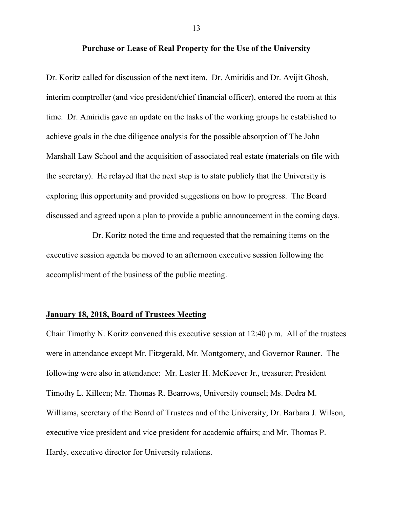#### **Purchase or Lease of Real Property for the Use of the University**

Dr. Koritz called for discussion of the next item. Dr. Amiridis and Dr. Avijit Ghosh, interim comptroller (and vice president/chief financial officer), entered the room at this time. Dr. Amiridis gave an update on the tasks of the working groups he established to achieve goals in the due diligence analysis for the possible absorption of The John Marshall Law School and the acquisition of associated real estate (materials on file with the secretary). He relayed that the next step is to state publicly that the University is exploring this opportunity and provided suggestions on how to progress. The Board discussed and agreed upon a plan to provide a public announcement in the coming days.

Dr. Koritz noted the time and requested that the remaining items on the executive session agenda be moved to an afternoon executive session following the accomplishment of the business of the public meeting.

## **January 18, 2018, Board of Trustees Meeting**

Chair Timothy N. Koritz convened this executive session at 12:40 p.m. All of the trustees were in attendance except Mr. Fitzgerald, Mr. Montgomery, and Governor Rauner. The following were also in attendance: Mr. Lester H. McKeever Jr., treasurer; President Timothy L. Killeen; Mr. Thomas R. Bearrows, University counsel; Ms. Dedra M. Williams, secretary of the Board of Trustees and of the University; Dr. Barbara J. Wilson, executive vice president and vice president for academic affairs; and Mr. Thomas P. Hardy, executive director for University relations.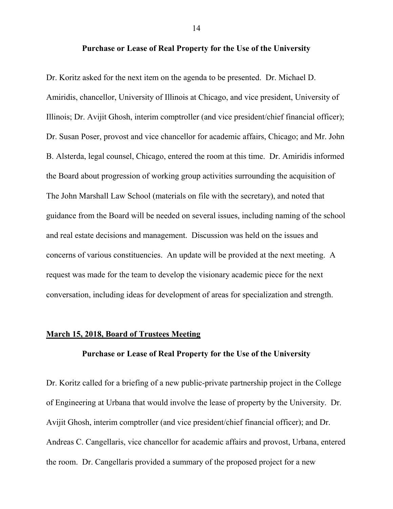#### **Purchase or Lease of Real Property for the Use of the University**

Dr. Koritz asked for the next item on the agenda to be presented. Dr. Michael D. Amiridis, chancellor, University of Illinois at Chicago, and vice president, University of Illinois; Dr. Avijit Ghosh, interim comptroller (and vice president/chief financial officer); Dr. Susan Poser, provost and vice chancellor for academic affairs, Chicago; and Mr. John B. Alsterda, legal counsel, Chicago, entered the room at this time. Dr. Amiridis informed the Board about progression of working group activities surrounding the acquisition of The John Marshall Law School (materials on file with the secretary), and noted that guidance from the Board will be needed on several issues, including naming of the school and real estate decisions and management. Discussion was held on the issues and concerns of various constituencies. An update will be provided at the next meeting. A request was made for the team to develop the visionary academic piece for the next conversation, including ideas for development of areas for specialization and strength.

#### **March 15, 2018, Board of Trustees Meeting**

### **Purchase or Lease of Real Property for the Use of the University**

Dr. Koritz called for a briefing of a new public-private partnership project in the College of Engineering at Urbana that would involve the lease of property by the University. Dr. Avijit Ghosh, interim comptroller (and vice president/chief financial officer); and Dr. Andreas C. Cangellaris, vice chancellor for academic affairs and provost, Urbana, entered the room. Dr. Cangellaris provided a summary of the proposed project for a new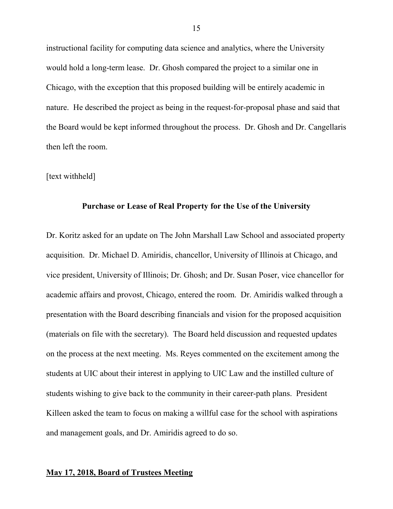instructional facility for computing data science and analytics, where the University would hold a long-term lease. Dr. Ghosh compared the project to a similar one in Chicago, with the exception that this proposed building will be entirely academic in nature. He described the project as being in the request-for-proposal phase and said that the Board would be kept informed throughout the process. Dr. Ghosh and Dr. Cangellaris then left the room.

#### [text withheld]

#### **Purchase or Lease of Real Property for the Use of the University**

Dr. Koritz asked for an update on The John Marshall Law School and associated property acquisition. Dr. Michael D. Amiridis, chancellor, University of Illinois at Chicago, and vice president, University of Illinois; Dr. Ghosh; and Dr. Susan Poser, vice chancellor for academic affairs and provost, Chicago, entered the room. Dr. Amiridis walked through a presentation with the Board describing financials and vision for the proposed acquisition (materials on file with the secretary). The Board held discussion and requested updates on the process at the next meeting. Ms. Reyes commented on the excitement among the students at UIC about their interest in applying to UIC Law and the instilled culture of students wishing to give back to the community in their career-path plans. President Killeen asked the team to focus on making a willful case for the school with aspirations and management goals, and Dr. Amiridis agreed to do so.

## **May 17, 2018, Board of Trustees Meeting**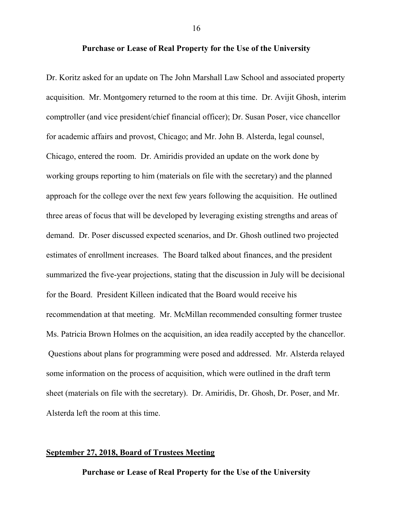### **Purchase or Lease of Real Property for the Use of the University**

Dr. Koritz asked for an update on The John Marshall Law School and associated property acquisition. Mr. Montgomery returned to the room at this time. Dr. Avijit Ghosh, interim comptroller (and vice president/chief financial officer); Dr. Susan Poser, vice chancellor for academic affairs and provost, Chicago; and Mr. John B. Alsterda, legal counsel, Chicago, entered the room. Dr. Amiridis provided an update on the work done by working groups reporting to him (materials on file with the secretary) and the planned approach for the college over the next few years following the acquisition. He outlined three areas of focus that will be developed by leveraging existing strengths and areas of demand. Dr. Poser discussed expected scenarios, and Dr. Ghosh outlined two projected estimates of enrollment increases. The Board talked about finances, and the president summarized the five-year projections, stating that the discussion in July will be decisional for the Board. President Killeen indicated that the Board would receive his recommendation at that meeting. Mr. McMillan recommended consulting former trustee Ms. Patricia Brown Holmes on the acquisition, an idea readily accepted by the chancellor. Questions about plans for programming were posed and addressed. Mr. Alsterda relayed some information on the process of acquisition, which were outlined in the draft term sheet (materials on file with the secretary). Dr. Amiridis, Dr. Ghosh, Dr. Poser, and Mr. Alsterda left the room at this time.

## **September 27, 2018, Board of Trustees Meeting**

**Purchase or Lease of Real Property for the Use of the University**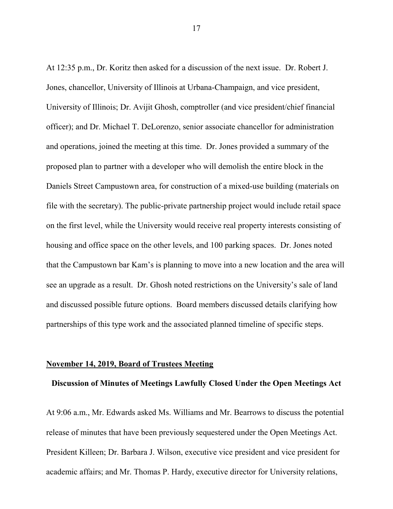At 12:35 p.m., Dr. Koritz then asked for a discussion of the next issue. Dr. Robert J. Jones, chancellor, University of Illinois at Urbana-Champaign, and vice president, University of Illinois; Dr. Avijit Ghosh, comptroller (and vice president/chief financial officer); and Dr. Michael T. DeLorenzo, senior associate chancellor for administration and operations, joined the meeting at this time. Dr. Jones provided a summary of the proposed plan to partner with a developer who will demolish the entire block in the Daniels Street Campustown area, for construction of a mixed-use building (materials on file with the secretary). The public-private partnership project would include retail space on the first level, while the University would receive real property interests consisting of housing and office space on the other levels, and 100 parking spaces. Dr. Jones noted that the Campustown bar Kam's is planning to move into a new location and the area will see an upgrade as a result. Dr. Ghosh noted restrictions on the University's sale of land and discussed possible future options. Board members discussed details clarifying how partnerships of this type work and the associated planned timeline of specific steps.

#### **November 14, 2019, Board of Trustees Meeting**

#### **Discussion of Minutes of Meetings Lawfully Closed Under the Open Meetings Act**

At 9:06 a.m., Mr. Edwards asked Ms. Williams and Mr. Bearrows to discuss the potential release of minutes that have been previously sequestered under the Open Meetings Act. President Killeen; Dr. Barbara J. Wilson, executive vice president and vice president for academic affairs; and Mr. Thomas P. Hardy, executive director for University relations,